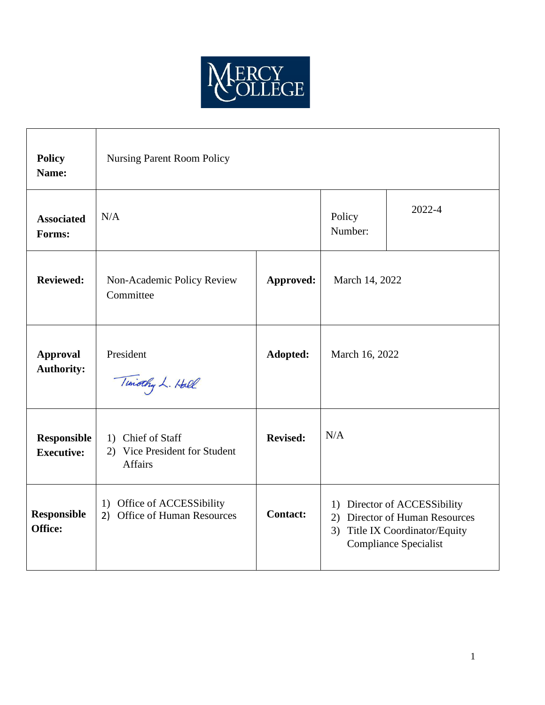

| <b>Policy</b><br>Name:                  | <b>Nursing Parent Room Policy</b>                                    |                 |                                                                                                                                     |        |
|-----------------------------------------|----------------------------------------------------------------------|-----------------|-------------------------------------------------------------------------------------------------------------------------------------|--------|
| <b>Associated</b><br>Forms:             | N/A                                                                  |                 | Policy<br>Number:                                                                                                                   | 2022-4 |
| <b>Reviewed:</b>                        | Non-Academic Policy Review<br>Committee                              | Approved:       | March 14, 2022                                                                                                                      |        |
| <b>Approval</b><br><b>Authority:</b>    | President<br>Timothy L. Hall                                         | Adopted:        | March 16, 2022                                                                                                                      |        |
| <b>Responsible</b><br><b>Executive:</b> | 1) Chief of Staff<br>2) Vice President for Student<br><b>Affairs</b> | <b>Revised:</b> | N/A                                                                                                                                 |        |
| <b>Responsible</b><br>Office:           | 1) Office of ACCESSibility<br>2) Office of Human Resources           | <b>Contact:</b> | 1) Director of ACCESSibility<br>2) Director of Human Resources<br>Title IX Coordinator/Equity<br>3)<br><b>Compliance Specialist</b> |        |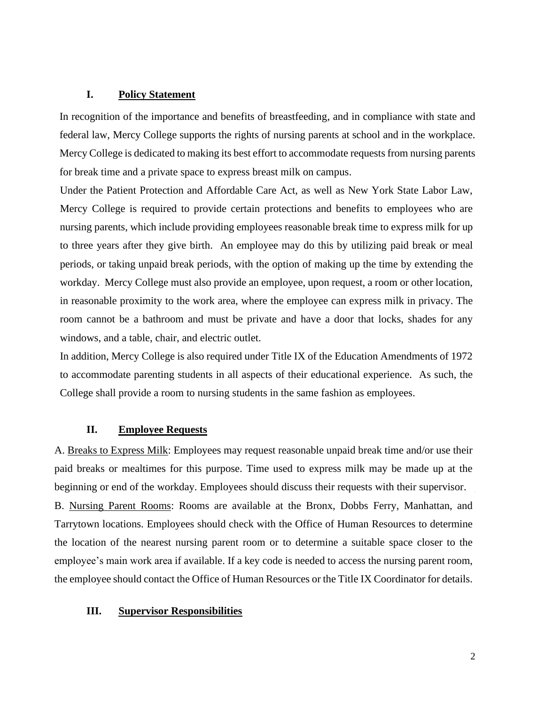#### **I. Policy Statement**

In recognition of the importance and benefits of breastfeeding, and in compliance with state and federal law, Mercy College supports the rights of nursing parents at school and in the workplace. Mercy College is dedicated to making its best effort to accommodate requests from nursing parents for break time and a private space to express breast milk on campus.

Under the Patient Protection and Affordable Care Act, as well as New York State Labor Law, Mercy College is required to provide certain protections and benefits to employees who are nursing parents, which include providing employees reasonable break time to express milk for up to three years after they give birth. An employee may do this by utilizing paid break or meal periods, or taking unpaid break periods, with the option of making up the time by extending the workday. Mercy College must also provide an employee, upon request, a room or other location, in reasonable proximity to the work area, where the employee can express milk in privacy. The room cannot be a bathroom and must be private and have a door that locks, shades for any windows, and a table, chair, and electric outlet.

In addition, Mercy College is also required under Title IX of the Education Amendments of 1972 to accommodate parenting students in all aspects of their educational experience. As such, the College shall provide a room to nursing students in the same fashion as employees.

#### **II. Employee Requests**

A. Breaks to Express Milk: Employees may request reasonable unpaid break time and/or use their paid breaks or mealtimes for this purpose. Time used to express milk may be made up at the beginning or end of the workday. Employees should discuss their requests with their supervisor. B. Nursing Parent Rooms: Rooms are available at the Bronx, Dobbs Ferry, Manhattan, and Tarrytown locations. Employees should check with the Office of Human Resources to determine the location of the nearest nursing parent room or to determine a suitable space closer to the employee's main work area if available. If a key code is needed to access the nursing parent room, the employee should contact the Office of Human Resources or the Title IX Coordinator for details.

#### **III. Supervisor Responsibilities**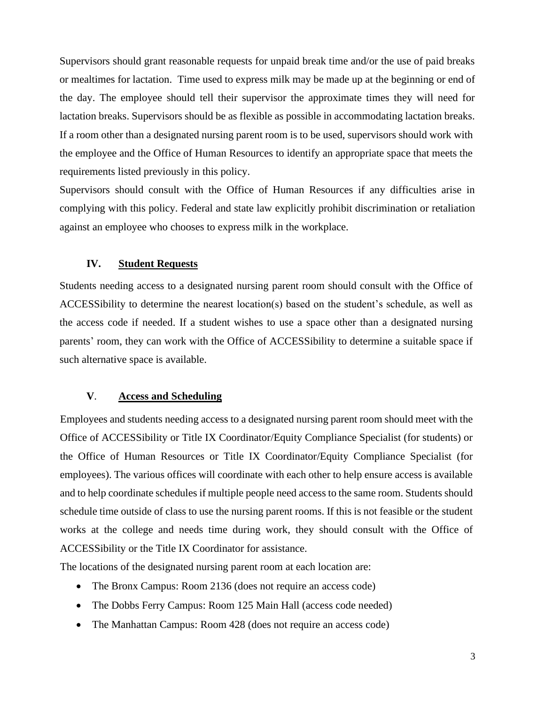Supervisors should grant reasonable requests for unpaid break time and/or the use of paid breaks or mealtimes for lactation. Time used to express milk may be made up at the beginning or end of the day. The employee should tell their supervisor the approximate times they will need for lactation breaks. Supervisors should be as flexible as possible in accommodating lactation breaks. If a room other than a designated nursing parent room is to be used, supervisors should work with the employee and the Office of Human Resources to identify an appropriate space that meets the requirements listed previously in this policy.

Supervisors should consult with the Office of Human Resources if any difficulties arise in complying with this policy. Federal and state law explicitly prohibit discrimination or retaliation against an employee who chooses to express milk in the workplace.

### **IV. Student Requests**

Students needing access to a designated nursing parent room should consult with the Office of ACCESSibility to determine the nearest location(s) based on the student's schedule, as well as the access code if needed. If a student wishes to use a space other than a designated nursing parents' room, they can work with the Office of ACCESSibility to determine a suitable space if such alternative space is available.

## **V**. **Access and Scheduling**

Employees and students needing access to a designated nursing parent room should meet with the Office of ACCESSibility or Title IX Coordinator/Equity Compliance Specialist (for students) or the Office of Human Resources or Title IX Coordinator/Equity Compliance Specialist (for employees). The various offices will coordinate with each other to help ensure access is available and to help coordinate schedules if multiple people need access to the same room. Students should schedule time outside of class to use the nursing parent rooms. If this is not feasible or the student works at the college and needs time during work, they should consult with the Office of ACCESSibility or the Title IX Coordinator for assistance.

The locations of the designated nursing parent room at each location are:

- The Bronx Campus: Room 2136 (does not require an access code)
- The Dobbs Ferry Campus: Room 125 Main Hall (access code needed)
- The Manhattan Campus: Room 428 (does not require an access code)